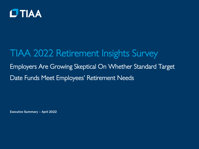

# TIAA 2022 Retirement Insights Survey Employers Are Growing Skeptical On Whether Standard Target Date Funds Meet Employees' Retirement Needs

Executive Summary – April 2022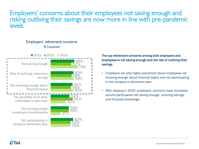### Employers' concerns about their employees not saving enough and risking outliving their savings are now more in line with pre-pandemic levels.

#### Employers' retirement concerns *% Concerned*



#### The top retirement concerns among both employers and employees is not saving enough and the risk of outliving their savings.

- Employers are also highly concerned about employees not knowing enough about financial topics and not participating in the company's retirement plan.
- After dipping in 2020, employers' concerns have increased around participants not saving enough, outliving savings, and financial knowledge.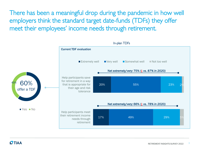There has been a meaningful drop during the pandemic in how well employers think the standard target date-funds (TDFs) they offer meet their employees' income needs through retirement.

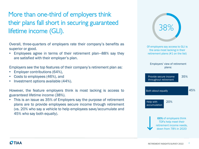## More than one-third of employers think their plans fall short in securing guaranteed lifetime income (GLI).

Overall, three-quarters of employers rate their company's benefits as superior or good.

• Employees agree in terms of their retirement plan—88% say they are satisfied with their employer's plan.

Employers see the top features of their company's retirement plan as:

- Employer contributions (64%),
- Costs to employees (46%), and
- Investment options available (44%).

However, the feature employers think is most lacking is access to guaranteed lifetime income (38%).

• This is an issue as 35% of Employers say the purpose of retirement plans are to provide employees secure income through retirement (vs. 20% who say a vehicle to help employees save/accumulate and 45% who say both equally).

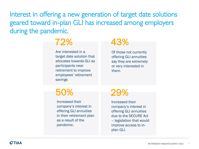Interest in offering a new generation of target date solutions geared toward in-plan GLI has increased among employers during the pandemic.



Are interested in a target date solution that allocates towards GLI as participants near retirement to improve employees' retirement savings

## 43%

Of those not currently offering GLI annuities say they are extremely or very interested in them.

## 50%

Increased their company's interest in offering GLI annuities in their retirement plan as a result of the pandemic.

## 29%

Increased their company's interest in offering GLI annuities due to the SECURE Act – legislation that would improve access to inplan GLI.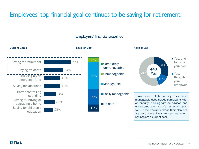## Employees' top financial goal continues to be saving for retirement.

#### Employees' financial snapshot

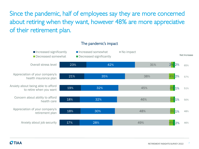Since the pandemic, half of employees say they are more concerned about retiring when they want, however 48% are more appreciative of their retirement plan.

#### The pandemic's impact

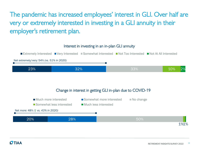The pandemic has increased employees' interest in GLI. Over half are very or extremely interested in investing in a GLI annuity in their employer's retirement plan.

#### Interest in investing in an in-plan GLI annuity

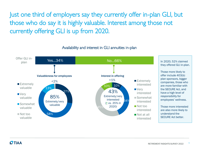Just one third of employers say they currently offer in-plan GLI, but those who do say it is highly valuable. Interest among those not currently offering GLI is up from 2020.

Availability and interest in GLI annuities in-plan

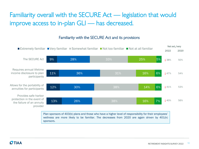## Familiarity overall with the SECURE Act — legislation that would improve access to in-plan GLI — has decreased.



wellness are more likely to be familiar. The decreases from 2020 are again driven by 401(k) sponsors.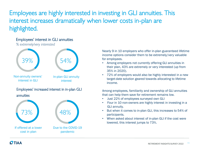Employees are highly interested in investing in GLI annuities. This interest increases dramatically when lower costs in-plan are highlighted.

#### Employees' interest in GLI annuities

*% extremely/very interested*



Nearly 9 in 10 employers who offer in-plan guaranteed lifetime income options consider them to be extremely/very valuable for employees.

- Among employers not currently offering GLI annuities in their plan, 43% are extremely or very interested (up from 35% in 2020).
- 72% of employers would also be highly interested in a new target-date solution geared towards allocating to lifetime income.

Among employees, familiarity and ownership of GLI annuities that can help them save for retirement remains low.

- Just 22% of employees surveyed own GLI
- Four in 10 non-owners are highly interest in investing in a GLI annuity.
- But when it comes to in-plan GLI, this increases to 54% of participants.
- When asked about interest of in-plan GLI if the cost were lowered, this interest jumps to 73%.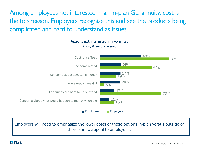Among employees not interested in an in-plan GLI annuity, cost is the top reason. Employers recognize this and see the products being complicated and hard to understand as issues.

> Reasons not interested in in-plan GLI *Among those not interested*



Employers will need to emphasize the lower costs of these options in-plan versus outside of their plan to appeal to employees.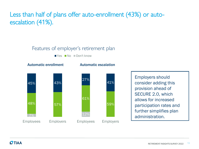## Less than half of plans offer auto-enrollment (43%) or autoescalation (41%).

#### Features of employer's retirement plan

Yes No Don't know

Automatic enrollment **Automatic escalation** 



59% 41% Employees Employers Employers should consider adding this provision ahead of SECURE 2.0, which allows for increased participation rates and further simplifies plan administration.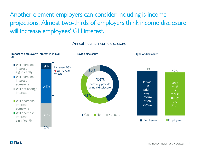Another element employers can consider including is income projections. Almost two-thirds of employers think income disclosure will increase employees' GLI interest.

#### Annual lifetime income disclosure

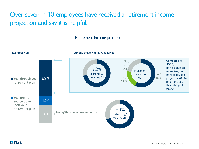## Over seven in 10 employees have received a retirement income projection and say it is helpful.

#### Retirement income projection

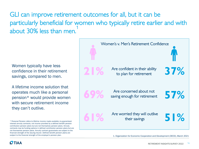GLI can improve retirement outcomes for all, but it can be particularly beneficial for women who typically retire earlier and with about 30% less than men.

Women typically have less confidence in their retirement savings, compared to men.

A lifetime income solution that operates much like a personal pension\* would provide women with secure retirement income they can't outlive.

**OTIAA** 



<sup>\*</sup> Personal Pension refers to lifetime income made available my guaranteedinterest annuity contracts, not income provided by a defined benefit pension contribution pension plans but are not themselves pension plans. Annuity contracts may be funding options in defined contribution pension plans but are not themselves pension plans. Annuity contract guarantees are subject to the financial strength of the issuing insurer. Defined benefit pension plans are subject to the financial strength of the employer's pension plan.